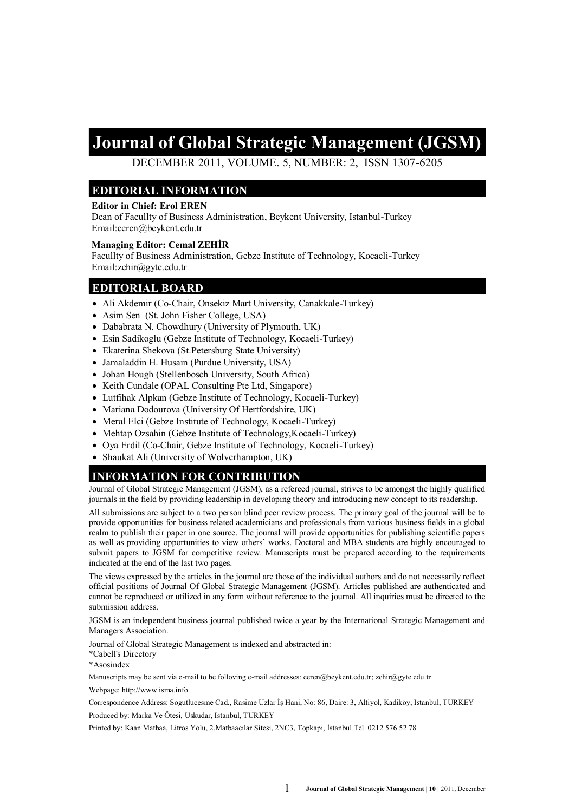# **Journal of Global Strategic Management (JGSM)**

DECEMBER 2011, VOLUME. 5, NUMBER: 2, ISSN 1307-6205

### **EDITORIAL INFORMATION**

#### **Editor in Chief: Erol EREN**

Dean of Facullty of Business Administration, Beykent University, Istanbul-Turkey Email:eeren@beykent.edu.tr

#### **Managing Editor: Cemal ZEHİR**

Facullty of Business Administration, Gebze Institute of Technology, Kocaeli-Turkey Email:zehir@gyte.edu.tr

#### **EDITORIAL BOARD**

- Ali Akdemir (Co-Chair, Onsekiz Mart University, Canakkale-Turkey)
- Asim Sen (St. John Fisher College, USA)
- Dababrata N. Chowdhury (University of Plymouth, UK)
- Esin Sadikoglu (Gebze Institute of Technology, Kocaeli-Turkey)
- Ekaterina Shekova (St.Petersburg State University)
- Jamaladdin H. Husain (Purdue University, USA)
- Johan Hough (Stellenbosch University, South Africa)
- Keith Cundale (OPAL Consulting Pte Ltd, Singapore)
- Lutfihak Alpkan (Gebze Institute of Technology, Kocaeli-Turkey)
- Mariana Dodourova (University Of Hertfordshire, UK)
- Meral Elci (Gebze Institute of Technology, Kocaeli-Turkey)
- Mehtap Ozsahin (Gebze Institute of Technology, Kocaeli-Turkey)
- Oya Erdil (Co-Chair, Gebze Institute of Technology, Kocaeli-Turkey)
- Shaukat Ali (University of Wolverhampton, UK)

### **INFORMATION FOR CONTRIBUTION**

Journal of Global Strategic Management (JGSM), as a refereed journal, strives to be amongst the highly qualified journals in the field by providing leadership in developing theory and introducing new concept to its readership.

All submissions are subject to a two person blind peer review process. The primary goal of the journal will be to provide opportunities for business related academicians and professionals from various business fields in a global realm to publish their paper in one source. The journal will provide opportunities for publishing scientific papers as well as providing opportunities to view others' works. Doctoral and MBA students are highly encouraged to submit papers to JGSM for competitive review. Manuscripts must be prepared according to the requirements indicated at the end of the last two pages.

The views expressed by the articles in the journal are those of the individual authors and do not necessarily reflect official positions of Journal Of Global Strategic Management (JGSM). Articles published are authenticated and cannot be reproduced or utilized in any form without reference to the journal. All inquiries must be directed to the submission address.

JGSM is an independent business journal published twice a year by the International Strategic Management and Managers Association.

Journal of Global Strategic Management is indexed and abstracted in:

\*Cabell's Directory

\*Asosindex

Manuscripts may be sent via e-mail to be folloving e-mail addresses: eeren@beykent.edu.tr; zehir@gyte.edu.tr

Webpage: http://www.isma.info

Correspondence Address: Sogutlucesme Cad., Rasime Uzlar İş Hani, No: 86, Daire: 3, Altiyol, Kadiköy, Istanbul, TURKEY

Produced by: Marka Ve Ötesi, Uskudar, Istanbul, TURKEY

Printed by: Kaan Matbaa, Litros Yolu, 2.Matbaacılar Sitesi, 2NC3, Topkapı, İstanbul Tel. 0212 576 52 78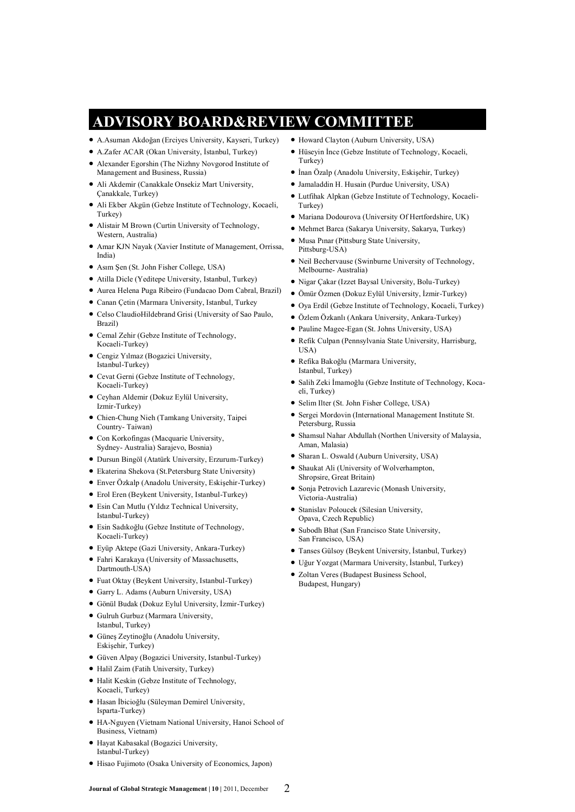# **ADVISORY BOARD&REVIEW COMMITTEE**

- A.Asuman Akdoğan (Erciyes University, Kayseri, Turkey)
- A.Zafer ACAR (Okan University, İstanbul, Turkey)
- Alexander Egorshin (The Nizhny Novgorod Institute of Management and Business, Russia)
- Ali Akdemir (Canakkale Onsekiz Mart University, Çanakkale, Turkey)
- Ali Ekber Akgün (Gebze Institute of Technology, Kocaeli, Turkey)
- Alistair M Brown (Curtin University of Technology, Western, Australia)
- Amar KJN Nayak (Xavier Institute of Management, Orrissa, India)
- Asım Şen (St. John Fisher College, USA)
- Atilla Dicle (Yeditepe University, Istanbul, Turkey)
- Aurea Helena Puga Ribeiro (Fundacao Dom Cabral, Brazil)
- Canan Çetin (Marmara University, Istanbul, Turkey
- Celso ClaudioHildebrand Grisi (University of Sao Paulo, Brazil)
- Cemal Zehir (Gebze Institute of Technology, Kocaeli-Turkey)
- Cengiz Yılmaz (Bogazici University, Istanbul-Turkey)
- Cevat Gerni (Gebze Institute of Technology, Kocaeli-Turkey)
- Ceyhan Aldemir (Dokuz Eylül University, Izmir-Turkey)
- Chien-Chung Nieh (Tamkang University, Taipei Country- Taiwan)
- Con Korkofingas (Macquarie University, Sydney- Australia) Sarajevo, Bosnia)
- Dursun Bingöl (Atatürk University, Erzurum-Turkey)
- Ekaterina Shekova (St.Petersburg State University)
- Enver Özkalp (Anadolu University, Eskişehir-Turkey)
- Erol Eren (Beykent University, Istanbul-Turkey)
- Esin Can Mutlu (Yıldız Technical University, Istanbul-Turkey)
- Esin Sadıkoğlu (Gebze Institute of Technology, Kocaeli-Turkey)
- Eyüp Aktepe (Gazi University, Ankara-Turkey)
- Fahri Karakaya (University of Massachusetts, Dartmouth-USA)
- Fuat Oktay (Beykent University, Istanbul-Turkey)
- Garry L. Adams (Auburn University, USA)
- Gönül Budak (Dokuz Eylul University, İzmir-Turkey)
- Gulruh Gurbuz (Marmara University, Istanbul, Turkey)
- Güneş Zeytinoğlu (Anadolu University, Eskişehir, Turkey)
- Güven Alpay (Bogazici University, Istanbul-Turkey)
- Halil Zaim (Fatih University, Turkey)
- Halit Keskin (Gebze Institute of Technology, Kocaeli, Turkey)
- Hasan İbicioğlu (Süleyman Demirel University, Isparta-Turkey)
- HA-Nguyen (Vietnam National University, Hanoi School of Business, Vietnam)
- Hayat Kabasakal (Bogazici University, Istanbul-Turkey)
- Hisao Fujimoto (Osaka University of Economics, Japon)
- Howard Clayton (Auburn University, USA)
- Hüseyin İnce (Gebze Institute of Technology, Kocaeli, Turkey)
- İnan Özalp (Anadolu University, Eskişehir, Turkey)
- Jamaladdin H. Husain (Purdue University, USA)
- Lutfihak Alpkan (Gebze Institute of Technology, Kocaeli-Turkey)
- $\bullet$  Mariana Dodourova (University Of Hertfordshire, UK)
- Mehmet Barca (Sakarya University, Sakarya, Turkey)
- Musa Pınar (Pittsburg State University, Pittsburg-USA)
- Neil Bechervause (Swinburne University of Technology, Melbourne- Australia)
- Nigar Çakar (Izzet Baysal University, Bolu-Turkey)
- Ömür Özmen (Dokuz Eylül University, İzmir-Turkey)
- Oya Erdil (Gebze Institute of Technology, Kocaeli, Turkey)
- Özlem Özkanlı (Ankara University, Ankara-Turkey)
- Pauline Magee-Egan (St. Johns University, USA)
- Refik Culpan (Pennsylvania State University, Harrisburg, USA)
- Refika Bakoğlu (Marmara University, Istanbul, Turkey)
- Salih Zeki İmamoğlu (Gebze Institute of Technology, Kocaeli, Turkey)
- Selim Ilter (St. John Fisher College, USA)
- Sergei Mordovin (International Management Institute St. Petersburg, Russia
- Shamsul Nahar Abdullah (Northen University of Malaysia, Aman, Malasia)
- Sharan L. Oswald (Auburn University, USA)
- Shaukat Ali (University of Wolverhampton, Shropsire, Great Britain)
- Sonja Petrovich Lazarevic (Monash University, Victoria-Australia)
- **Stanislav Poloucek (Silesian University,** Opava, Czech Republic)
- Subodh Bhat (San Francisco State University, San Francisco, USA)
- Tanses Gülsoy (Beykent University, İstanbul, Turkey)
- Uğur Yozgat (Marmara University, İstanbul, Turkey)
- Zoltan Veres (Budapest Business School, Budapest, Hungary)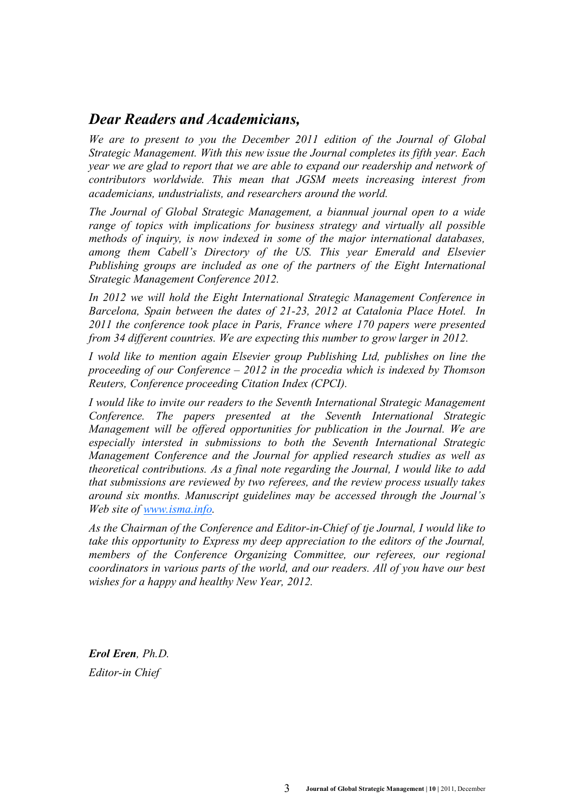### *Dear Readers and Academicians,*

*We are to present to you the December 2011 edition of the Journal of Global Strategic Management. With this new issue the Journal completes its fifth year. Each year we are glad to report that we are able to expand our readership and network of contributors worldwide. This mean that JGSM meets increasing interest from academicians, undustrialists, and researchers around the world.*

*The Journal of Global Strategic Management, a biannual journal open to a wide range of topics with implications for business strategy and virtually all possible methods of inquiry, is now indexed in some of the major international databases, among them Cabell's Directory of the US. This year Emerald and Elsevier Publishing groups are included as one of the partners of the Eight International Strategic Management Conference 2012.*

*In 2012 we will hold the Eight International Strategic Management Conference in Barcelona, Spain between the dates of 21-23, 2012 at Catalonia Place Hotel. In 2011 the conference took place in Paris, France where 170 papers were presented from 34 different countries. We are expecting this number to grow larger in 2012.*

*I* wold like to mention again Elsevier group Publishing Ltd, publishes on line the *proceeding of our Conference – 2012 in the procedia which is indexed by Thomson Reuters, Conference proceeding Citation Index (CPCI).*

*I would like to invite our readers to the Seventh International Strategic Management Conference. The papers presented at the Seventh International Strategic Management will be offered opportunities for publication in the Journal. We are especially intersted in submissions to both the Seventh International Strategic Management Conference and the Journal for applied research studies as well as theoretical contributions. As a final note regarding the Journal, I would like to add that submissions are reviewed by two referees, and the review process usually takes around six months. Manuscript guidelines may be accessed through the Journal's Web site of [www.isma.info.](http://www.isma.info)*

*As the Chairman of the Conference and Editor-in-Chief of tje Journal, I would like to take this opportunity to Express my deep appreciation to the editors of the Journal, members of the Conference Organizing Committee, our referees, our regional coordinators in various parts of the world, and our readers. All of you have our best wishes for a happy and healthy New Year, 2012.*

*Erol Eren, Ph.D. Editor-in Chief*